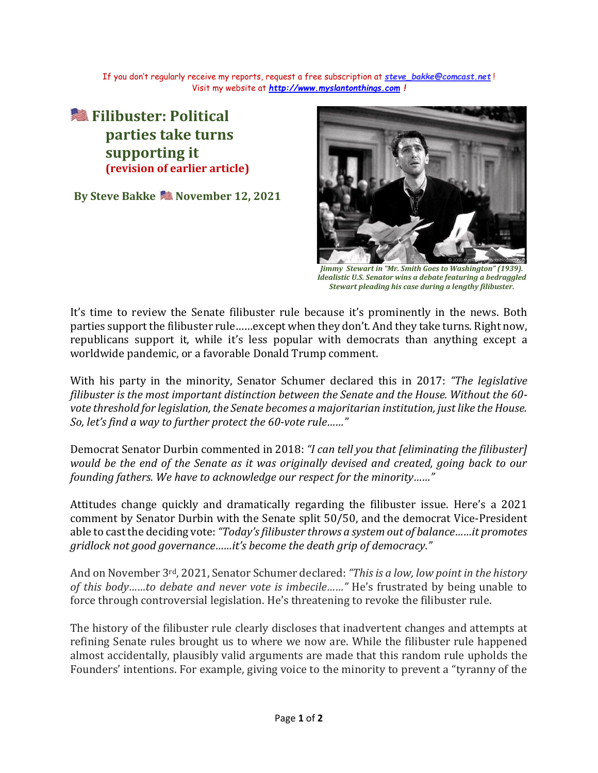If you don't regularly receive my reports, request a free subscription at *[steve\\_bakke@comcast.net](mailto:steve_bakke@comcast.net)* ! Visit my website at *[http://www.myslantonthings.com](http://www.myslantonthings.com/) !*

**<u></u> Filibuster: Political parties take turns supporting it (revision of earlier article)**

**By Steve Bakke <b>SE** November 12, 2021



*Jimmy Stewart in "Mr. Smith Goes to Washington" (1939). Idealistic U.S. Senator wins a debate featuring a bedraggled Stewart pleading his case during a lengthy filibuster.*

It's time to review the Senate filibuster rule because it's prominently in the news. Both parties support the filibuster rule……except when they don't. And they take turns. Right now, republicans support it, while it's less popular with democrats than anything except a worldwide pandemic, or a favorable Donald Trump comment.

With his party in the minority, Senator Schumer declared this in 2017: *"The legislative filibuster is the most important distinction between the Senate and the House. Without the 60 vote threshold for legislation, the Senate becomes a majoritarian institution, just like the House. So, let's find a way to further protect the 60-vote rule……"*

Democrat Senator Durbin commented in 2018: *"I can tell you that [eliminating the filibuster] would be the end of the Senate as it was originally devised and created, going back to our founding fathers. We have to acknowledge our respect for the minority……"*

Attitudes change quickly and dramatically regarding the filibuster issue. Here's a 2021 comment by Senator Durbin with the Senate split 50/50, and the democrat Vice-President able to cast the deciding vote:*"Today's filibuster throws a system out of balance……it promotes gridlock not good governance……it's become the death grip of democracy."*

And on November 3rd, 2021, Senator Schumer declared: *"This is a low, low point in the history of this body……to debate and never vote is imbecile……"* He's frustrated by being unable to force through controversial legislation. He's threatening to revoke the filibuster rule.

The history of the filibuster rule clearly discloses that inadvertent changes and attempts at refining Senate rules brought us to where we now are. While the filibuster rule happened almost accidentally, plausibly valid arguments are made that this random rule upholds the Founders' intentions. For example, giving voice to the minority to prevent a "tyranny of the